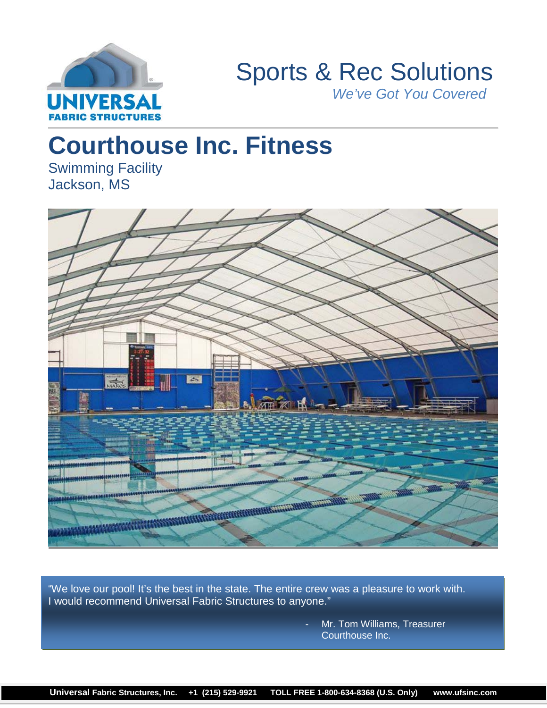

# Sports & Rec Solutions *We've Got You Covered*

# **Courthouse Inc. Fitness**

Swimming Facility Jackson, MS



"We love our pool! It's the best in the state. The entire crew was a pleasure to work with. I would recommend Universal Fabric Structures to anyone."

> Mr. Tom Williams, Treasurer Courthouse Inc.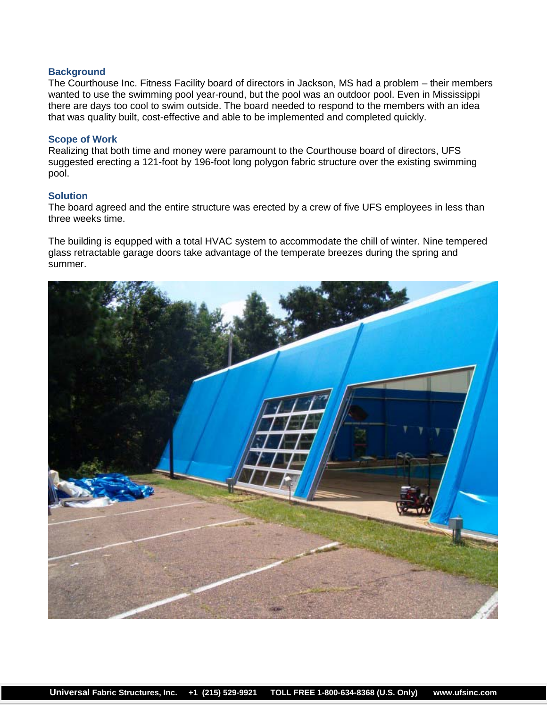## **Background**

The Courthouse Inc. Fitness Facility board of directors in Jackson, MS had a problem – their members wanted to use the swimming pool year-round, but the pool was an outdoor pool. Even in Mississippi there are days too cool to swim outside. The board needed to respond to the members with an idea that was quality built, cost-effective and able to be implemented and completed quickly.

### **Scope of Work**

Realizing that both time and money were paramount to the Courthouse board of directors, UFS suggested erecting a 121-foot by 196-foot long polygon fabric structure over the existing swimming pool.

#### **Solution**

The board agreed and the entire structure was erected by a crew of five UFS employees in less than three weeks time.

The building is equpped with a total HVAC system to accommodate the chill of winter. Nine tempered glass retractable garage doors take advantage of the temperate breezes during the spring and summer.

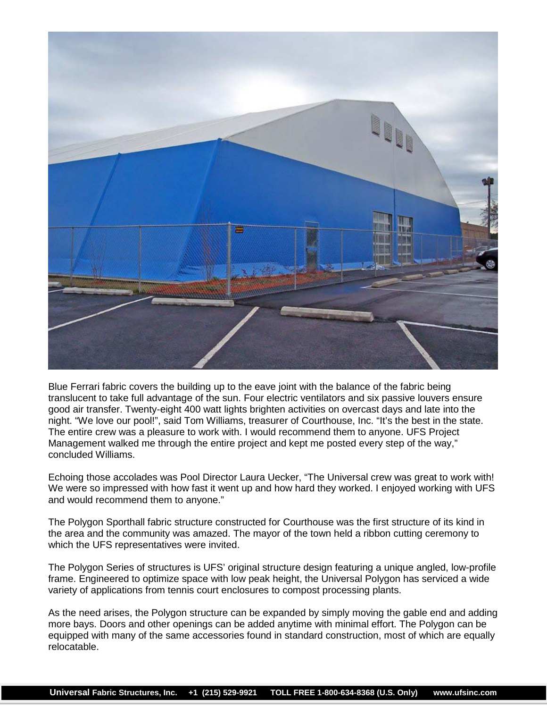

Blue Ferrari fabric covers the building up to the eave joint with the balance of the fabric being translucent to take full advantage of the sun. Four electric ventilators and six passive louvers ensure good air transfer. Twenty-eight 400 watt lights brighten activities on overcast days and late into the night. "We love our pool!", said Tom Williams, treasurer of Courthouse, Inc. "It's the best in the state. The entire crew was a pleasure to work with. I would recommend them to anyone. UFS Project Management walked me through the entire project and kept me posted every step of the way," concluded Williams.

Echoing those accolades was Pool Director Laura Uecker, "The Universal crew was great to work with! We were so impressed with how fast it went up and how hard they worked. I enjoyed working with UFS and would recommend them to anyone."

The Polygon Sporthall fabric structure constructed for Courthouse was the first structure of its kind in the area and the community was amazed. The mayor of the town held a ribbon cutting ceremony to which the UFS representatives were invited.

The Polygon Series of structures is UFS' original structure design featuring a unique angled, low-profile frame. Engineered to optimize space with low peak height, the Universal Polygon has serviced a wide variety of applications from tennis court enclosures to compost processing plants.

As the need arises, the Polygon structure can be expanded by simply moving the gable end and adding more bays. Doors and other openings can be added anytime with minimal effort. The Polygon can be equipped with many of the same accessories found in standard construction, most of which are equally relocatable.